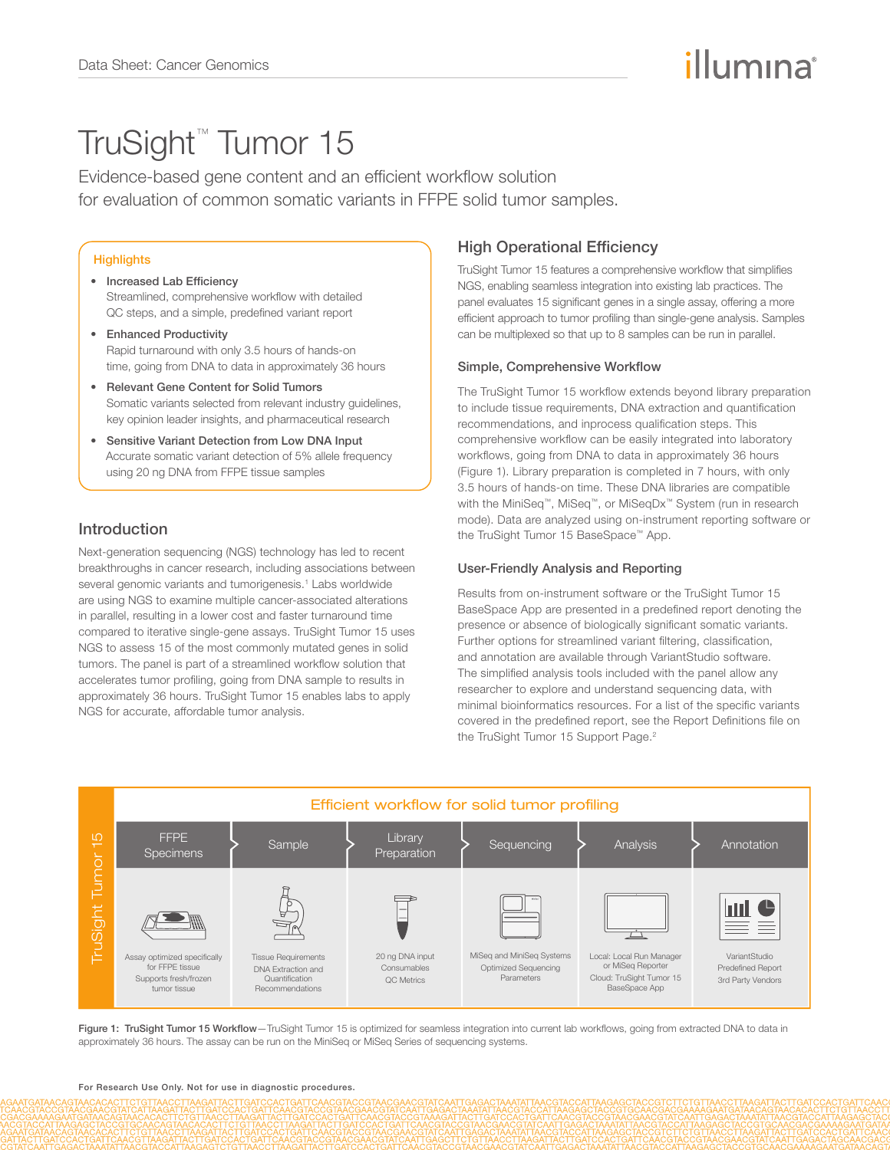# illumına

# TruSight™ Tumor 15

Evidence-based gene content and an efficient workflow solution for evaluation of common somatic variants in FFPE solid tumor samples.

### **Highlights**

- Increased Lab Efficiency Streamlined, comprehensive workflow with detailed QC steps, and a simple, predefined variant report
- Enhanced Productivity Rapid turnaround with only 3.5 hours of hands-on time, going from DNA to data in approximately 36 hours
- Relevant Gene Content for Solid Tumors Somatic variants selected from relevant industry quidelines, key opinion leader insights, and pharmaceutical research
- Sensitive Variant Detection from Low DNA Input Accurate somatic variant detection of 5% allele frequency using 20 ng DNA from FFPE tissue samples

# Introduction

Next-generation sequencing (NGS) technology has led to recent breakthroughs in cancer research, including associations between several genomic variants and tumorigenesis.<sup>1</sup> Labs worldwide are using NGS to examine multiple cancer-associated alterations in parallel, resulting in a lower cost and faster turnaround time compared to iterative single-gene assays. TruSight Tumor 15 uses NGS to assess 15 of the most commonly mutated genes in solid tumors. The panel is part of a streamlined workflow solution that accelerates tumor profiling, going from DNA sample to results in approximately 36 hours. TruSight Tumor 15 enables labs to apply NGS for accurate, affordable tumor analysis.

# High Operational Efficiency

TruSight Tumor 15 features a comprehensive workflow that simplifies NGS, enabling seamless integration into existing lab practices. The panel evaluates 15 significant genes in a single assay, offering a more efficient approach to tumor profiling than single-gene analysis. Samples can be multiplexed so that up to 8 samples can be run in parallel.

### Simple, Comprehensive Workflow

The TruSight Tumor 15 workflow extends beyond library preparation to include tissue requirements, DNA extraction and quantification recommendations, and inprocess qualification steps. This comprehensive workflow can be easily integrated into laboratory workflows, going from DNA to data in approximately 36 hours (Figure 1). Library preparation is completed in 7 hours, with only 3.5 hours of hands-on time. These DNA libraries are compatible with the MiniSeq™, MiSeq™, or MiSeqDx™ System (run in research mode). Data are analyzed using on-instrument reporting software or the TruSight Tumor 15 BaseSpace™ App.

#### User-Friendly Analysis and Reporting

Results from on-instrument software or the TruSight Tumor 15 BaseSpace App are presented in a predefined report denoting the presence or absence of biologically significant somatic variants. Further options for streamlined variant filtering, classification, and annotation are available through VariantStudio software. The simplified analysis tools included with the panel allow any researcher to explore and understand sequencing data, with minimal bioinformatics resources. For a list of the specific variants covered in the predefined report, see the Report Definitions file on the TruSight Tumor 15 Support Page.<sup>2</sup>



Figure 1: TruSight Tumor 15 Workflow-TruSight Tumor 15 is optimized for seamless integration into current lab workflows, going from extracted DNA to data in approximately 36 hours. The assay can be run on the MiniSeq or MiSeq Series of sequencing systems.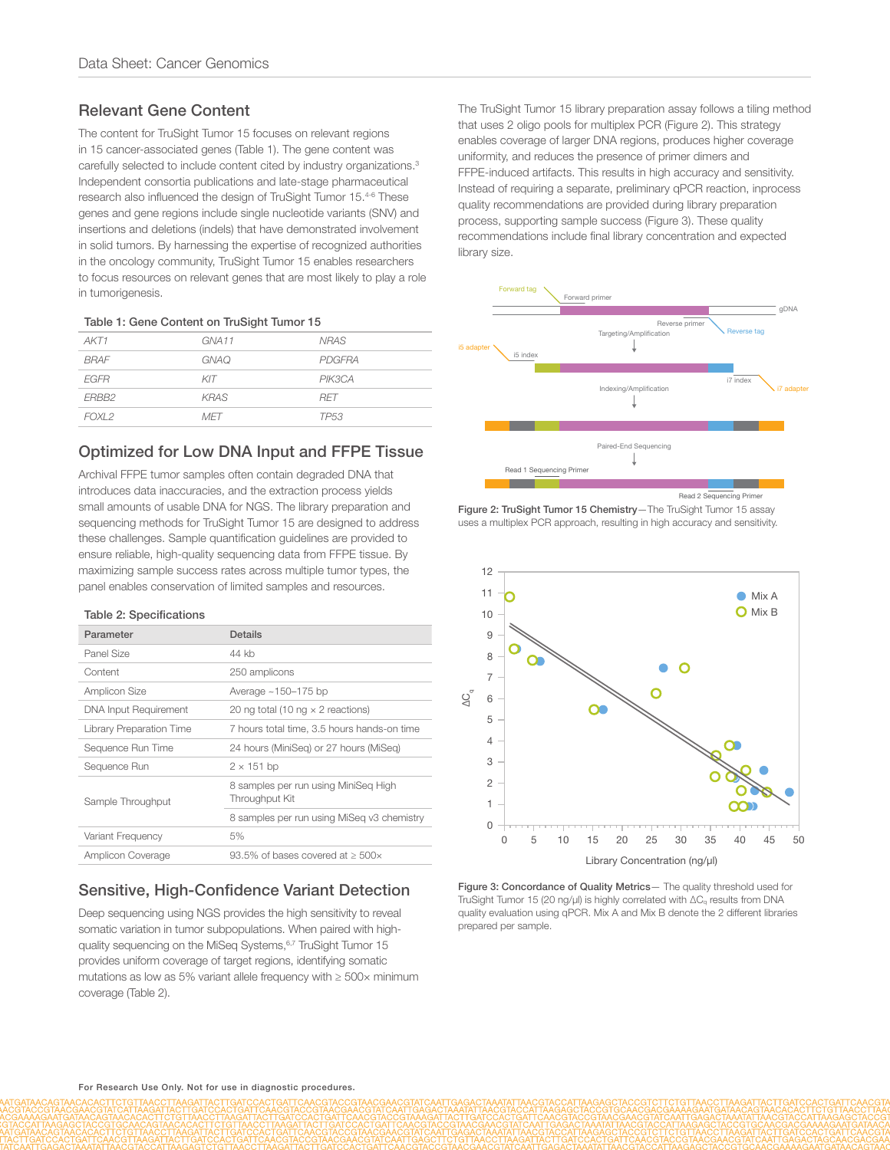# Relevant Gene Content

The content for TruSight Tumor 15 focuses on relevant regions in 15 cancer-associated genes (Table 1). The gene content was carefully selected to include content cited by industry organizations.3 Independent consortia publications and late-stage pharmaceutical research also influenced the design of TruSight Tumor 15.4-6 These genes and gene regions include single nucleotide variants (SNV) and insertions and deletions (indels) that have demonstrated involvement in solid tumors. By harnessing the expertise of recognized authorities in the oncology community, TruSight Tumor 15 enables researchers to focus resources on relevant genes that are most likely to play a role in tumorigenesis.

|  |  | Table 1: Gene Content on TruSight Tumor 15 |  |
|--|--|--------------------------------------------|--|
|  |  |                                            |  |

| GNA <sub>11</sub> | <b>NRAS</b>      |
|-------------------|------------------|
| <b>GNAQ</b>       | PDGFRA           |
| KIT               | PIK3CA           |
| <b>KRAS</b>       | <b>RFT</b>       |
| <b>MFT</b>        | TP <sub>53</sub> |
|                   |                  |

# Optimized for Low DNA Input and FFPE Tissue

Archival FFPE tumor samples often contain degraded DNA that introduces data inaccuracies, and the extraction process yields small amounts of usable DNA for NGS. The library preparation and sequencing methods for TruSight Tumor 15 are designed to address these challenges. Sample quantification guidelines are provided to ensure reliable, high-quality sequencing data from FFPE tissue. By maximizing sample success rates across multiple tumor types, the panel enables conservation of limited samples and resources.

#### Table 2: Specifications

| Parameter                       | Details                                                |
|---------------------------------|--------------------------------------------------------|
| Panel Size                      | 44 kh                                                  |
| Content                         | 250 amplicons                                          |
| Amplicon Size                   | Average $~150-175$ bp                                  |
| <b>DNA Input Requirement</b>    | 20 ng total (10 ng $\times$ 2 reactions)               |
| <b>Library Preparation Time</b> | 7 hours total time, 3.5 hours hands-on time            |
| Sequence Run Time               | 24 hours (MiniSeg) or 27 hours (MiSeg)                 |
| Sequence Run                    | $2 \times 151$ bp                                      |
| Sample Throughput               | 8 samples per run using MiniSeg High<br>Throughput Kit |
|                                 | 8 samples per run using MiSeg v3 chemistry             |
| Variant Frequency               | 5%                                                     |
| Amplicon Coverage               | 93.5% of bases covered at $\geq$ 500 $\times$          |

# Sensitive, High-Confidence Variant Detection

Deep sequencing using NGS provides the high sensitivity to reveal somatic variation in tumor subpopulations. When paired with highquality sequencing on the MiSeq Systems,<sup>6,7</sup> TruSight Tumor 15 provides uniform coverage of target regions, identifying somatic mutations as low as 5% variant allele frequency with ≥ 500× minimum coverage (Table 2).

The TruSight Tumor 15 library preparation assay follows a tiling method that uses 2 oligo pools for multiplex PCR (Figure 2). This strategy enables coverage of larger DNA regions, produces higher coverage uniformity, and reduces the presence of primer dimers and FFPE-induced artifacts. This results in high accuracy and sensitivity. Instead of requiring a separate, preliminary qPCR reaction, inprocess quality recommendations are provided during library preparation process, supporting sample success (Figure 3). These quality recommendations include final library concentration and expected library size.







Figure 3: Concordance of Quality Metrics- The quality threshold used for TruSight Tumor 15 (20 ng/μl) is highly correlated with ∆Cq results from DNA quality evaluation using qPCR. Mix A and Mix B denote the 2 different libraries prepared per sample.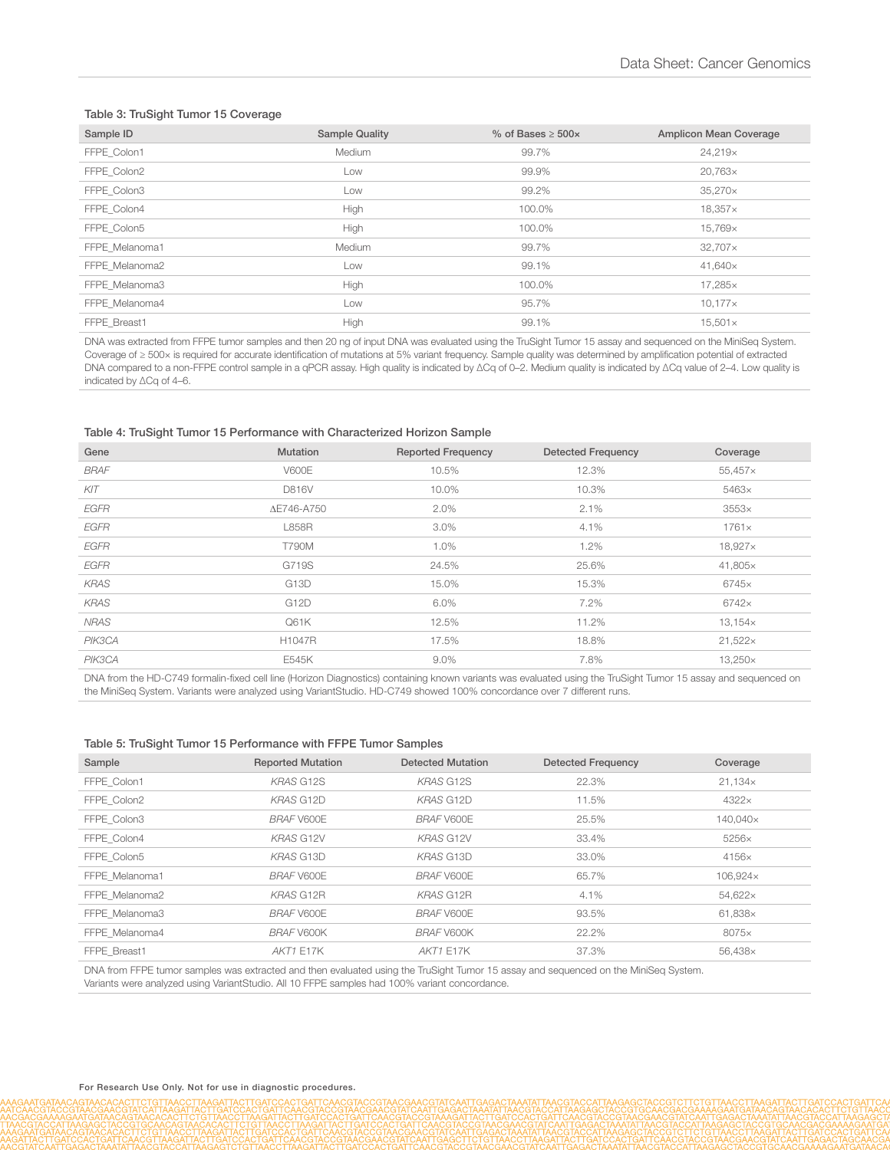#### Table 3: TruSight Tumor 15 Coverage

| Sample ID      | <b>Sample Quality</b> | $%$ of Bases $>$ 500 $\times$ | <b>Amplicon Mean Coverage</b> |
|----------------|-----------------------|-------------------------------|-------------------------------|
| FFPE Colon1    | Medium                | 99.7%                         | 24,219×                       |
| FFPE_Colon2    | Low                   | 99.9%                         | $20,763\times$                |
| FFPE Colon3    | Low                   | 99.2%                         | $35,270\times$                |
| FFPE Colon4    | High                  | 100.0%                        | $18,357\times$                |
| FFPE Colon5    | High                  | 100.0%                        | 15,769×                       |
| FFPE Melanoma1 | <b>Medium</b>         | 99.7%                         | $32,707\times$                |
| FFPE Melanoma2 | Low                   | 99.1%                         | 41,640×                       |
| FFPE Melanoma3 | High                  | 100.0%                        | 17,285×                       |
| FFPE Melanoma4 | Low                   | 95.7%                         | $10,177 \times$               |
| FFPE Breast1   | High                  | 99.1%                         | $15,501 \times$               |

DNA was extracted from FFPE tumor samples and then 20 ng of input DNA was evaluated using the TruSight Tumor 15 assay and sequenced on the MiniSeq System. Coverage of ≥ 500× is required for accurate identification of mutations at 5% variant frequency. Sample quality was determined by amplification potential of extracted DNA compared to a non-FFPE control sample in a qPCR assay. High quality is indicated by ∆Cq of 0-2. Medium quality is indicated by ∆Cq value of 2-4. Low quality is indicated by ∆Cq of 4–6.

#### Table 4: TruSight Tumor 15 Performance with Characterized Horizon Sample

| Gene        | <b>Mutation</b>   | <b>Reported Frequency</b> | <b>Detected Frequency</b> | Coverage        |
|-------------|-------------------|---------------------------|---------------------------|-----------------|
| <b>BRAF</b> | <b>V600E</b>      | 10.5%                     | 12.3%                     | $55,457\times$  |
| KIT         | D816V             | 10.0%                     | 10.3%                     | 5463×           |
| EGFR        | ΔE746-A750        | $2.0\%$                   | 2.1%                      | 3553x           |
| <b>EGFR</b> | <b>L858R</b>      | $3.0\%$                   | $4.1\%$                   | $1761\times$    |
| <b>EGFR</b> | <b>T790M</b>      | 1.0%                      | 1.2%                      | 18,927×         |
| EGFR        | G719S             | 24.5%                     | 25.6%                     | 41,805×         |
| <b>KRAS</b> | G13D              | 15.0%                     | 15.3%                     | 6745×           |
| <b>KRAS</b> | G <sub>12</sub> D | 6.0%                      | 7.2%                      | 6742×           |
| <b>NRAS</b> | Q61K              | 12.5%                     | 11.2%                     | $13,154\times$  |
| PIK3CA      | H1047R            | 17.5%                     | 18.8%                     | $21,522 \times$ |
| PIK3CA      | E545K             | $9.0\%$                   | 7.8%                      | $13.250\times$  |

DNA from the HD-C749 formalin-fixed cell line (Horizon Diagnostics) containing known variants was evaluated using the TruSight Tumor 15 assay and sequenced on the MiniSeq System. Variants were analyzed using VariantStudio. HD-C749 showed 100% concordance over 7 different runs.

#### Table 5: TruSight Tumor 15 Performance with FFPE Tumor Samples

| Sample         | <b>Reported Mutation</b> | Detected Mutation | <b>Detected Frequency</b> | Coverage       |
|----------------|--------------------------|-------------------|---------------------------|----------------|
| FFPE Colon1    | <b>KRAS G12S</b>         | <b>KRAS G12S</b>  | 22.3%                     | $21,134\times$ |
| FFPE Colon2    | <b>KRAS G12D</b>         | <b>KRAS G12D</b>  | 11.5%                     | $4322\times$   |
| FFPE Colon3    | <b>BRAF V600E</b>        | <b>BRAF V600E</b> | 25.5%                     | 140,040×       |
| FFPE Colon4    | <b>KRAS G12V</b>         | <b>KRAS G12V</b>  | 33.4%                     | $5256\times$   |
| FFPE Colon5    | <b>KRAS G13D</b>         | <b>KRAS G13D</b>  | 33.0%                     | 4156×          |
| FFPE Melanoma1 | <b>BRAF V600E</b>        | <b>BRAF V600E</b> | 65.7%                     | 106,924×       |
| FFPE Melanoma2 | <b>KRAS G12R</b>         | KRAS G12R         | 4.1%                      | 54,622×        |
| FFPE Melanoma3 | <b>BRAF V600E</b>        | <b>BRAF V600E</b> | 93.5%                     | 61,838×        |
| FFPE Melanoma4 | BRAF V600K               | BRAF V600K        | 22.2%                     | 8075×          |
| FFPE Breast1   | <b>AKT1 E17K</b>         | <b>AKT1 E17K</b>  | 37.3%                     | 56,438×        |
|                |                          |                   |                           |                |

DNA from FFPE tumor samples was extracted and then evaluated using the TruSight Tumor 15 assay and sequenced on the MiniSeq System. Variants were analyzed using VariantStudio. All 10 FFPE samples had 100% variant concordance.